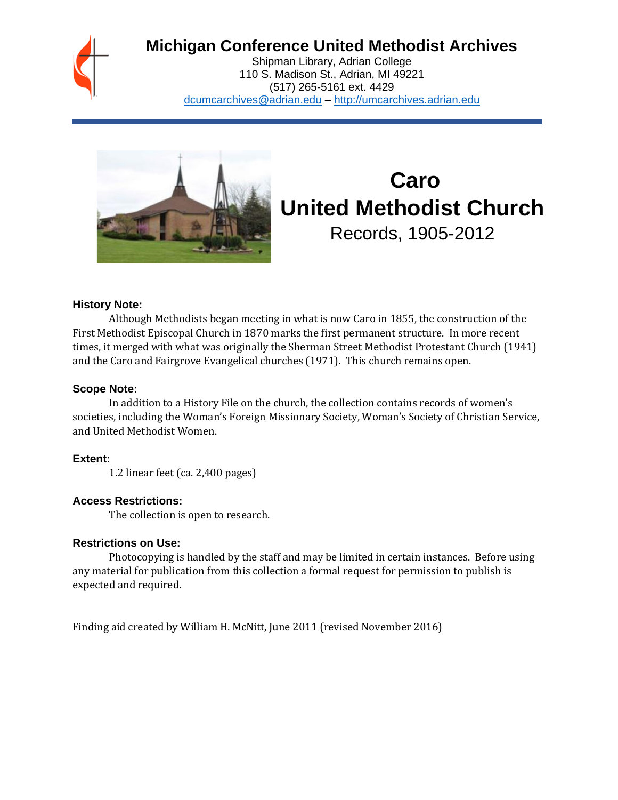

# **Michigan Conference United Methodist Archives**

Shipman Library, Adrian College 110 S. Madison St., Adrian, MI 49221 (517) 265-5161 ext. 4429 [dcumcarchives@adrian.edu](mailto:dcumcarchives@adrian.edu) – [http://umcarchives.adrian.edu](http://umcarchives.adrian.edu/)



# **Caro United Methodist Church** Records, 1905-2012

#### **History Note:**

Although Methodists began meeting in what is now Caro in 1855, the construction of the First Methodist Episcopal Church in 1870 marks the first permanent structure. In more recent times, it merged with what was originally the Sherman Street Methodist Protestant Church (1941) and the Caro and Fairgrove Evangelical churches (1971). This church remains open.

#### **Scope Note:**

In addition to a History File on the church, the collection contains records of women's societies, including the Woman's Foreign Missionary Society, Woman's Society of Christian Service, and United Methodist Women.

#### **Extent:**

1.2 linear feet (ca. 2,400 pages)

# **Access Restrictions:**

The collection is open to research.

#### **Restrictions on Use:**

Photocopying is handled by the staff and may be limited in certain instances. Before using any material for publication from this collection a formal request for permission to publish is expected and required.

Finding aid created by William H. McNitt, June 2011 (revised November 2016)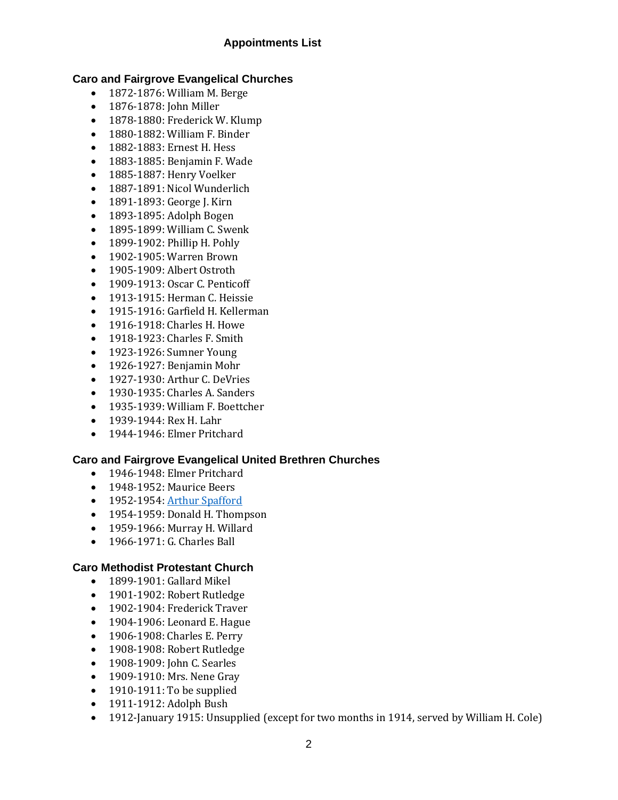# **Appointments List**

# **Caro and Fairgrove Evangelical Churches**

- 1872-1876: William M. Berge
- 1876-1878: John Miller
- 1878-1880: Frederick W. Klump
- 1880-1882: William F. Binder
- 1882-1883: Ernest H. Hess
- 1883-1885: Benjamin F. Wade
- 1885-1887: Henry Voelker
- 1887-1891: Nicol Wunderlich
- 1891-1893: George J. Kirn
- 1893-1895: Adolph Bogen
- 1895-1899: William C. Swenk
- 1899-1902: Phillip H. Pohly
- 1902-1905: Warren Brown
- 1905-1909: Albert Ostroth
- 1909-1913: Oscar C. Penticoff
- 1913-1915: Herman C. Heissie
- 1915-1916: Garfield H. Kellerman
- 1916-1918: Charles H. Howe
- 1918-1923: Charles F. Smith
- 1923-1926: Sumner Young
- 1926-1927: Benjamin Mohr
- 1927-1930: Arthur C. DeVries
- 1930-1935: Charles A. Sanders
- 1935-1939: William F. Boettcher
- 1939-1944: Rex H. Lahr
- 1944-1946: Elmer Pritchard

# **Caro and Fairgrove Evangelical United Brethren Churches**

- 1946-1948: Elmer Pritchard
- 1948-1952: Maurice Beers
- 1952-1954[: Arthur Spafford](http://umcarchives.adrian.edu/clergy/spafford2al.php)
- 1954-1959: Donald H. Thompson
- 1959-1966: Murray H. Willard
- 1966-1971: G. Charles Ball

# **Caro Methodist Protestant Church**

- 1899-1901: Gallard Mikel
- 1901-1902: Robert Rutledge
- 1902-1904: Frederick Traver
- 1904-1906: Leonard E. Hague
- 1906-1908: Charles E. Perry
- 1908-1908: Robert Rutledge
- 1908-1909: John C. Searles
- 1909-1910: Mrs. Nene Gray
- 1910-1911: To be supplied
- 1911-1912: Adolph Bush
- 1912-January 1915: Unsupplied (except for two months in 1914, served by William H. Cole)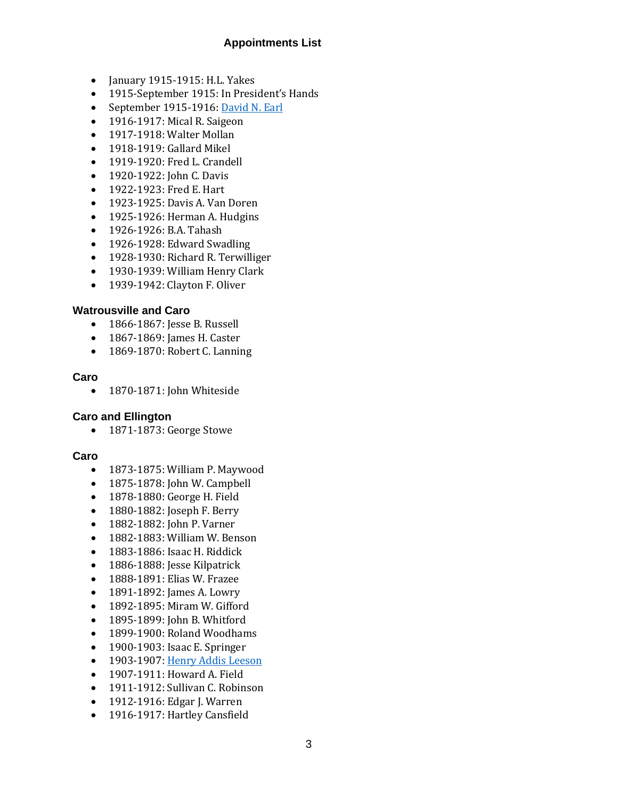# **Appointments List**

- January 1915-1915: H.L. Yakes
- 1915-September 1915: In President's Hands
- September 1915-1916: [David N. Earl](http://umcarchives.adrian.edu/clergy/earldn.php)
- 1916-1917: Mical R. Saigeon
- 1917-1918: Walter Mollan
- 1918-1919: Gallard Mikel
- 1919-1920: Fred L. Crandell
- 1920-1922: John C. Davis
- 1922-1923: Fred E. Hart
- 1923-1925: Davis A. Van Doren
- 1925-1926: Herman A. Hudgins
- 1926-1926: B.A. Tahash
- 1926-1928: Edward Swadling
- 1928-1930: Richard R. Terwilliger
- 1930-1939: William Henry Clark
- 1939-1942: Clayton F. Oliver

#### **Watrousville and Caro**

- 1866-1867: Jesse B. Russell
- 1867-1869: James H. Caster
- 1869-1870: Robert C. Lanning

#### **Caro**

• 1870-1871: John Whiteside

#### **Caro and Ellington**

• 1871-1873: George Stowe

#### **Caro**

- 1873-1875: William P. Maywood
- 1875-1878: John W. Campbell
- 1878-1880: George H. Field
- 1880-1882: Joseph F. Berry
- 1882-1882: John P. Varner
- 1882-1883: William W. Benson
- 1883-1886: Isaac H. Riddick
- 1886-1888: Jesse Kilpatrick
- 1888-1891: Elias W. Frazee
- 1891-1892: James A. Lowry
- 1892-1895: Miram W. Gifford
- 1895-1899: John B. Whitford
- 1899-1900: Roland Woodhams
- 1900-1903: Isaac E. Springer
- 1903-1907[: Henry Addis Leeson](http://umcarchives.adrian.edu/clergy/leesonha.php)
- 1907-1911: Howard A. Field
- 1911-1912: Sullivan C. Robinson
- 1912-1916: Edgar J. Warren
- 1916-1917: Hartley Cansfield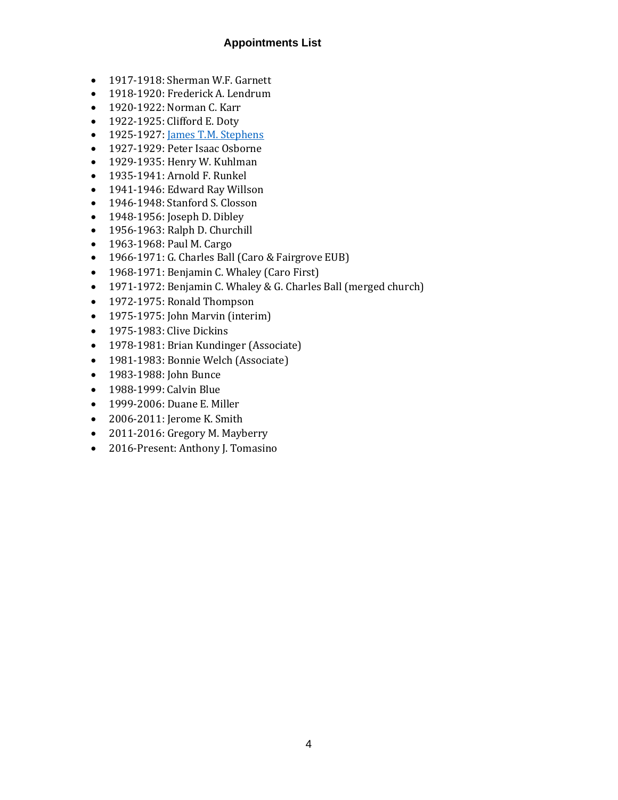# **Appointments List**

- 1917-1918: Sherman W.F. Garnett
- 1918-1920: Frederick A. Lendrum
- 1920-1922: Norman C. Karr
- 1922-1925: Clifford E. Doty
- 1925-1927[: James T.M. Stephens](http://umcarchives.adrian.edu/clergy/stephensjtm.php)
- 1927-1929: Peter Isaac Osborne
- 1929-1935: Henry W. Kuhlman
- 1935-1941: Arnold F. Runkel
- 1941-1946: Edward Ray Willson
- 1946-1948: Stanford S. Closson
- 1948-1956: Joseph D. Dibley
- 1956-1963: Ralph D. Churchill
- 1963-1968: Paul M. Cargo
- 1966-1971: G. Charles Ball (Caro & Fairgrove EUB)
- 1968-1971: Benjamin C. Whaley (Caro First)
- 1971-1972: Benjamin C. Whaley & G. Charles Ball (merged church)
- 1972-1975: Ronald Thompson
- 1975-1975: John Marvin (interim)
- 1975-1983: Clive Dickins
- 1978-1981: Brian Kundinger (Associate)
- 1981-1983: Bonnie Welch (Associate)
- 1983-1988: John Bunce
- 1988-1999: Calvin Blue
- 1999-2006: Duane E. Miller
- 2006-2011: Jerome K. Smith
- 2011-2016: Gregory M. Mayberry
- 2016-Present: Anthony J. Tomasino